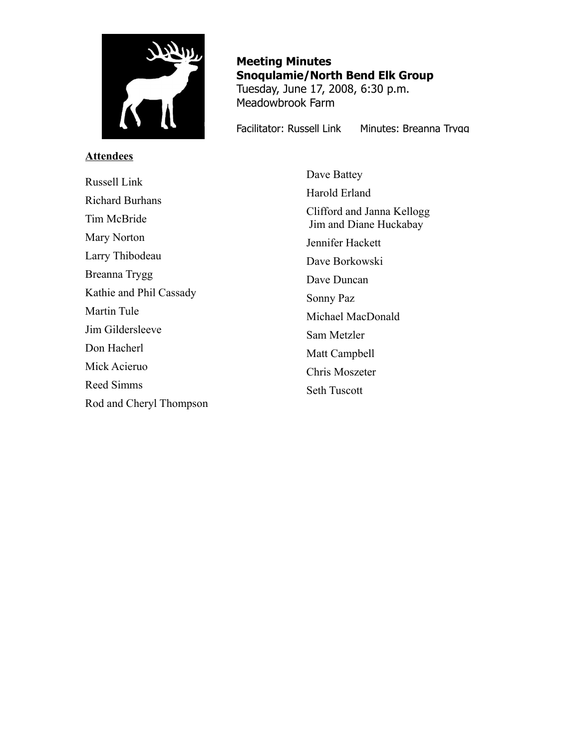

# **Attendees**

**Meeting Minutes Snoqulamie/North Bend Elk Group** Tuesday, June 17, 2008, 6:30 p.m. Meadowbrook Farm

Facilitator: Russell Link Minutes: Breanna Trygg

Russell Link Richard Burhans Tim McBride Mary Norton Larry Thibodeau Breanna Trygg Kathie and Phil Cassady Martin Tule Jim Gildersleeve Don Hacherl Mick Acieruo Reed Simms Rod and Cheryl Thompson

Dave Battey Harold Erland Clifford and Janna Kellogg Jim and Diane Huckabay Jennifer Hackett Dave Borkowski Dave Duncan Sonny Paz Michael MacDonald Sam Metzler Matt Campbell Chris Moszeter Seth Tuscott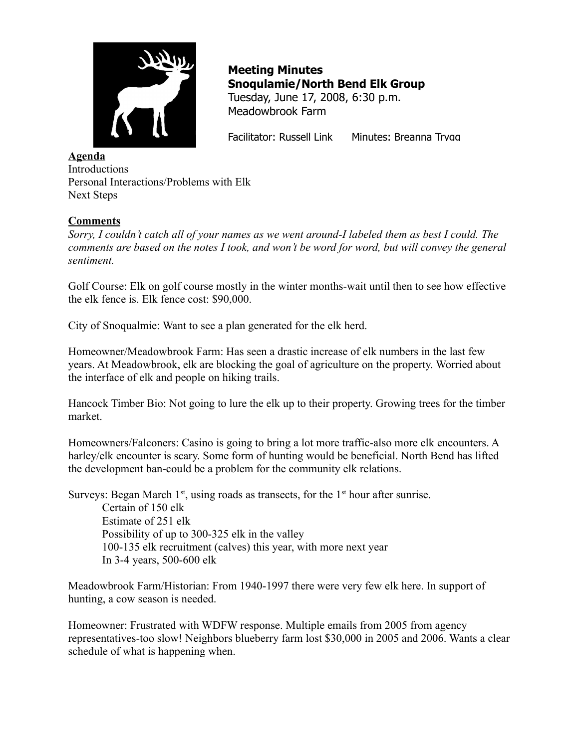

Facilitator: Russell Link Minutes: Breanna Trygg

## **Agenda Introductions** Personal Interactions/Problems with Elk Next Steps

## **Comments**

*Sorry, I couldn't catch all of your names as we went around-I labeled them as best I could. The comments are based on the notes I took, and won't be word for word, but will convey the general sentiment.* 

Golf Course: Elk on golf course mostly in the winter months-wait until then to see how effective the elk fence is. Elk fence cost: \$90,000.

City of Snoqualmie: Want to see a plan generated for the elk herd.

Homeowner/Meadowbrook Farm: Has seen a drastic increase of elk numbers in the last few years. At Meadowbrook, elk are blocking the goal of agriculture on the property. Worried about the interface of elk and people on hiking trails.

Hancock Timber Bio: Not going to lure the elk up to their property. Growing trees for the timber market.

Homeowners/Falconers: Casino is going to bring a lot more traffic-also more elk encounters. A harley/elk encounter is scary. Some form of hunting would be beneficial. North Bend has lifted the development ban-could be a problem for the community elk relations.

Surveys: Began March  $1<sup>st</sup>$ , using roads as transects, for the  $1<sup>st</sup>$  hour after sunrise.

Certain of 150 elk Estimate of 251 elk Possibility of up to 300-325 elk in the valley 100-135 elk recruitment (calves) this year, with more next year In 3-4 years, 500-600 elk

Meadowbrook Farm/Historian: From 1940-1997 there were very few elk here. In support of hunting, a cow season is needed.

Homeowner: Frustrated with WDFW response. Multiple emails from 2005 from agency representatives-too slow! Neighbors blueberry farm lost \$30,000 in 2005 and 2006. Wants a clear schedule of what is happening when.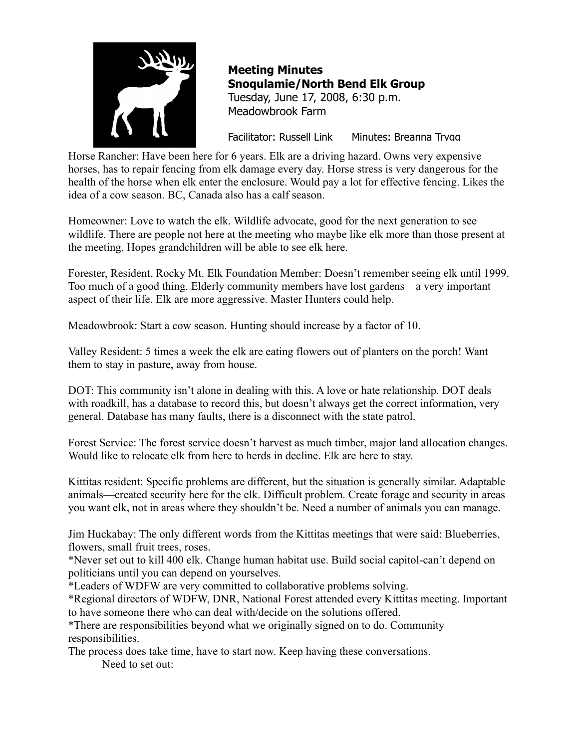

Facilitator: Russell Link Minutes: Breanna Trygg

Horse Rancher: Have been here for 6 years. Elk are a driving hazard. Owns very expensive horses, has to repair fencing from elk damage every day. Horse stress is very dangerous for the health of the horse when elk enter the enclosure. Would pay a lot for effective fencing. Likes the idea of a cow season. BC, Canada also has a calf season.

Homeowner: Love to watch the elk. Wildlife advocate, good for the next generation to see wildlife. There are people not here at the meeting who maybe like elk more than those present at the meeting. Hopes grandchildren will be able to see elk here.

Forester, Resident, Rocky Mt. Elk Foundation Member: Doesn't remember seeing elk until 1999. Too much of a good thing. Elderly community members have lost gardens—a very important aspect of their life. Elk are more aggressive. Master Hunters could help.

Meadowbrook: Start a cow season. Hunting should increase by a factor of 10.

Valley Resident: 5 times a week the elk are eating flowers out of planters on the porch! Want them to stay in pasture, away from house.

DOT: This community isn't alone in dealing with this. A love or hate relationship. DOT deals with roadkill, has a database to record this, but doesn't always get the correct information, very general. Database has many faults, there is a disconnect with the state patrol.

Forest Service: The forest service doesn't harvest as much timber, major land allocation changes. Would like to relocate elk from here to herds in decline. Elk are here to stay.

Kittitas resident: Specific problems are different, but the situation is generally similar. Adaptable animals—created security here for the elk. Difficult problem. Create forage and security in areas you want elk, not in areas where they shouldn't be. Need a number of animals you can manage.

Jim Huckabay: The only different words from the Kittitas meetings that were said: Blueberries, flowers, small fruit trees, roses.

\*Never set out to kill 400 elk. Change human habitat use. Build social capitol-can't depend on politicians until you can depend on yourselves.

\*Leaders of WDFW are very committed to collaborative problems solving.

\*Regional directors of WDFW, DNR, National Forest attended every Kittitas meeting. Important to have someone there who can deal with/decide on the solutions offered.

\*There are responsibilities beyond what we originally signed on to do. Community responsibilities.

The process does take time, have to start now. Keep having these conversations.

Need to set out: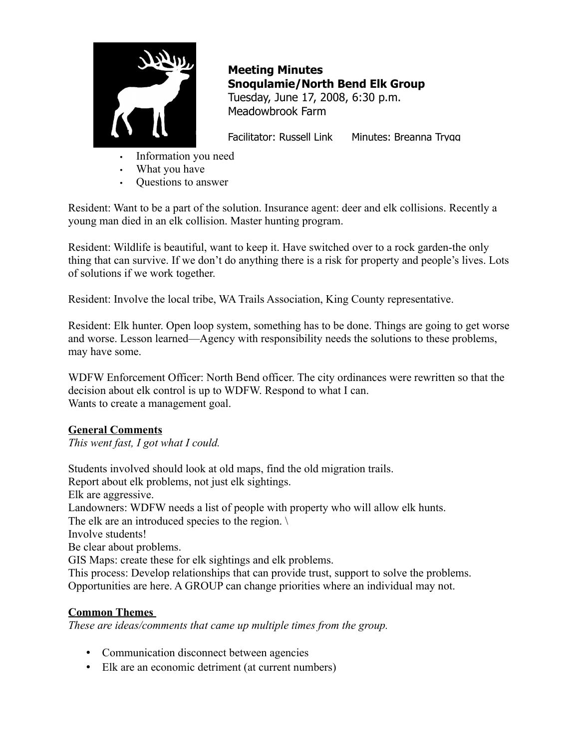

Facilitator: Russell Link Minutes: Breanna Trygg

- Information you need
- What you have
- Questions to answer

Resident: Want to be a part of the solution. Insurance agent: deer and elk collisions. Recently a young man died in an elk collision. Master hunting program.

Resident: Wildlife is beautiful, want to keep it. Have switched over to a rock garden-the only thing that can survive. If we don't do anything there is a risk for property and people's lives. Lots of solutions if we work together.

Resident: Involve the local tribe, WA Trails Association, King County representative.

Resident: Elk hunter. Open loop system, something has to be done. Things are going to get worse and worse. Lesson learned—Agency with responsibility needs the solutions to these problems, may have some.

WDFW Enforcement Officer: North Bend officer. The city ordinances were rewritten so that the decision about elk control is up to WDFW. Respond to what I can. Wants to create a management goal.

# **General Comments**

*This went fast, I got what I could.* 

Students involved should look at old maps, find the old migration trails. Report about elk problems, not just elk sightings. Elk are aggressive. Landowners: WDFW needs a list of people with property who will allow elk hunts. The elk are an introduced species to the region. Involve students! Be clear about problems. GIS Maps: create these for elk sightings and elk problems. This process: Develop relationships that can provide trust, support to solve the problems. Opportunities are here. A GROUP can change priorities where an individual may not.

# **Common Themes**

*These are ideas/comments that came up multiple times from the group.* 

- Communication disconnect between agencies
- Elk are an economic detriment (at current numbers)